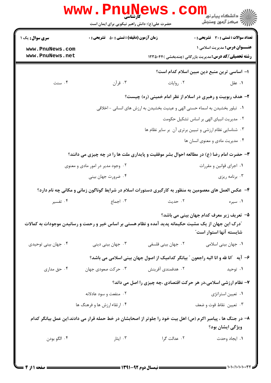|                                                                                                       | حضرت علی(ع): دانش راهبر نیکویی برای ایمان است      |                    | د دانشکاه پيام نو <mark>ر<br/>√</mark> مرکز آزمون وسنجش                                                                          |  |
|-------------------------------------------------------------------------------------------------------|----------------------------------------------------|--------------------|----------------------------------------------------------------------------------------------------------------------------------|--|
| <b>سری سوال :</b> یک ۱                                                                                | <b>زمان آزمون (دقیقه) : تستی : 50 ٪ تشریحی : 0</b> |                    | <b>تعداد سوالات : تستی : 30 ٪ تشریحی : 0</b>                                                                                     |  |
| www.PnuNews.com<br>www.PnuNews.net                                                                    |                                                    |                    | <b>عنـــوان درس:</b> مدیریت اسلامی ۱<br><b>رشته تحصیلی/کد درس:</b> مدیریت بازرگانی (چندبخشی )۲۳۵۰۴۴                              |  |
|                                                                                                       |                                                    |                    | ۱– اساسی ترین منبع دین مبین اسلام کدام است؟                                                                                      |  |
| ۰۴ سنت                                                                                                | ۰۳ قرآن                                            | ۰۲ روايات          | ۰۱ عقل                                                                                                                           |  |
|                                                                                                       |                                                    |                    | ۲- هدف ربوبیت و رهبری در اسلام از نظر امام خمینی (ره) چیست؟                                                                      |  |
|                                                                                                       |                                                    |                    | ١. تبلور بخشيدن به اسماء حسني الهي و عينيت بخشيدن به ارزش هاي انساني - اخلاقي                                                    |  |
|                                                                                                       |                                                    |                    | ٠٢ مديريت انبياى الهى بر اساس تشكيل حكومت                                                                                        |  |
|                                                                                                       |                                                    |                    | ٠٣ شناسايي نظام ارزشي و تبيين برتري آن بر ساير نظام ها                                                                           |  |
|                                                                                                       |                                                    |                    | ۰۴ مدیریت مادی و معنوی انسان ها                                                                                                  |  |
|                                                                                                       |                                                    |                    | <b>۳</b> - حضرت امام رضا (ع) در مطالعه احوال بشر موفقیت و پایداری ملت ها را در چه چیزی می دانند؟                                 |  |
|                                                                                                       | ۰۲ وجود مدیر در امور مادی و معنوی                  |                    | ۰۱ اجرای قوانین و مقررات                                                                                                         |  |
|                                                                                                       | ۰۴ ضرورت جهان بيني                                 |                    | ۰۳ برنامه ريزي                                                                                                                   |  |
|                                                                                                       |                                                    |                    | ۴- عکس العمل های معصومین به منظور به کارگیری دستورات اسلام در شرایط گوناگون زمانی و مکانی چه نام دارد؟                           |  |
| ۰۴ تفسیر                                                                                              | ۰۳ اجماع                                           | ۰۲ حدیث            | ۰۱ سیره                                                                                                                          |  |
| آدرک این جهان از یک مشیت حکیمانه پدید آمده و نظام هستی بر اساس خیر و رحمت و رسانیدن موجودات به کمالات |                                                    |                    | ۵- تعریف زیر معرف کدام جهان بینی می باشد؟<br>شايسته آنها استوار است"                                                             |  |
| ۰۴ جهان بيني توحيدي                                                                                   | ۰۳ جهان بینی دینی                                  | ۰۲ جهان بینی فلسفی | ۰۱ جهان بینی اسلامی                                                                                                              |  |
|                                                                                                       |                                                    |                    | ۶- آیه ″انا لله و انا الیه راجعون ″ بیانگر کدامیک از اصول جهان بینی اسلامی می باشد؟                                              |  |
| ۰۴ حق مداری                                                                                           | ۰۳ حرکت صعودی جهان                                 | ۰۲ هدفمندی آفرینش  | ۰ <b>۱</b> توحید                                                                                                                 |  |
|                                                                                                       |                                                    |                    | ۷- نظام ارزشی اسلامی،در هر حرکت اقتصادی ،چه چیزی را اصل می داند؟                                                                 |  |
|                                                                                                       | ۰۲ منفعت و سود عادلانه                             |                    | ٠١ تعيين استراتژي                                                                                                                |  |
|                                                                                                       | ۰۴ ارتقاء ارزش ها و فرهنگ ها                       |                    | ۰۳ تعيين نقاط قوت و ضعف                                                                                                          |  |
|                                                                                                       |                                                    |                    | ۸– در جنگ ها ، پیامبر اکرم (ص) اهل بیت خود را جلوتر از اصحابشان در خط حمله قرار می دادند.این عمل بیانگر کدام<br>ویژگی ایشان بود؟ |  |
| ۰۴ الگو بودن                                                                                          | ۰۳ ایثار                                           | ۰۲ عدالت گرا       | ۰۱ ایجاد وحدت                                                                                                                    |  |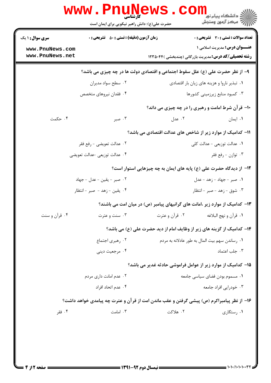| <b>سری سوال :</b> ۱ یک    | <b>زمان آزمون (دقیقه) : تستی : 50 ٪ تشریحی : 0</b>                                        |                                                                              | <b>تعداد سوالات : تستی : 30 ٪ تشریحی : 0</b>                 |
|---------------------------|-------------------------------------------------------------------------------------------|------------------------------------------------------------------------------|--------------------------------------------------------------|
| www.PnuNews.com           |                                                                                           |                                                                              | <b>عنـــوان درس:</b> مدیریت اسلامی ۱                         |
| www.PnuNews.net           |                                                                                           |                                                                              | <b>رشته تحصیلی/کد درس:</b> مدیریت بازرگانی (چندبخشی )۱۲۳۵۰۴۴ |
|                           | ۹- از نظر حضرت علی (ع) علل سقوط اجتماعی و اقتصادی دولت ها در چه چیزی می باشد؟             |                                                                              |                                                              |
|                           | ۰۲ سطح سواد مدیران                                                                        |                                                                              | ۰۱ تبذیر ناروا و هزینه های زیان بار اقتصادی                  |
|                           | ۰۴ فقدان نیروهای متخصص                                                                    |                                                                              | ۰۳ کمبود منابع زیرزمینی کشورها                               |
|                           |                                                                                           |                                                                              | 10- قرآن شرط امامت و رهبری را در چه چیزی می داند؟            |
| ۰۴ حکمت                   | ۰۳ صبر                                                                                    | ۰۲ عدل                                                                       | ۰۱ ایمان                                                     |
|                           |                                                                                           | 11– کدامیک از موارد زیر از شاخص های عدالت اقتصادی می باشد؟                   |                                                              |
| ٠٢ عدالت تعويضي - رفع فقر |                                                                                           |                                                                              | ١. عدالت توزيعي - عدالت كلي                                  |
|                           | ۰۴ عدالت توزيعي -عدالت تعويضي                                                             |                                                                              | ۰۳ توازن - رفع فقر                                           |
|                           |                                                                                           | ۱۲– از دیدگاه حضرت علی (ع) پایه های ایمان به چه چیزهایی استوار است؟          |                                                              |
|                           | ٢. صبر - يقين - عدل - جهاد                                                                |                                                                              | ۰۱ صبر - جهاد - زهد - عدل                                    |
|                           | ۰۴ يقين - زهد - صبر - انتظار                                                              |                                                                              | ۰۳ شوق - زهد - صبر - انتظار                                  |
|                           |                                                                                           | ۱۳– کدامیک از موارد زیر ،امانت های گرانبهای پیامبر (ص) در میان امت می باشند؟ |                                                              |
| ۰۴ قرآن و سنت             | ۰۳ سنت و عترت                                                                             | ۰۲ قرآن و عترت                                                               | ٠١ قرآن و نهج البلاغه                                        |
|                           |                                                                                           | ۱۴– کدامیک از گزینه های زیر از وظایف امام از دید حضرت علی (ع) می باشد؟       |                                                              |
| ۰۲ رهبری اجتماع           |                                                                                           |                                                                              | ۰۱ رساندن سهم بيت المال به طور عادلانه به مردم               |
|                           | ۰۴ مرجعیت دینی                                                                            |                                                                              | ۰۳ جلب اعتماد                                                |
|                           |                                                                                           | 1۵– کدامیک از موارد زیر از عوامل فراموشی حادثه غدیر می باشد؟                 |                                                              |
| ۰۲ عدم امانت داری مردم    |                                                                                           |                                                                              | ٠١. مسموم بودن فضاي سياسي جامعه                              |
|                           | ۰۴ عدم اتحاد افراد                                                                        |                                                                              | ۰۳ خودرایی افراد جامعه                                       |
|                           | ۱۶– از نظر پیامبراکرم (ص) پیشی گرفتن و عقب ماندن امت از قرآن و عترت چه پیامدی خواهد داشت؟ |                                                                              |                                                              |
| ۰۴ فقر                    | ۰۳ امامت                                                                                  | ۲. هلاكت                                                                     | ۰۱ , ستگاری                                                  |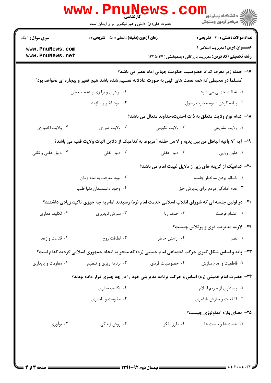| <b>تعداد سوالات : تستی : 30 ٪ تشریحی : 0</b><br><b>عنـــوان درس: مدیریت اسلامی ۱</b><br><b>رشته تحصیلی/کد درس:</b> مدیریت بازرگانی (چندبخشی )۲۳۵۰۴۴ |                 |                                                                                                                          | <b>سری سوال : ۱ یک</b> |
|-----------------------------------------------------------------------------------------------------------------------------------------------------|-----------------|--------------------------------------------------------------------------------------------------------------------------|------------------------|
|                                                                                                                                                     |                 | <b>زمان آزمون (دقیقه) : تستی : 50 ٪ تشریحی : 0</b>                                                                       | www.PnuNews.com        |
|                                                                                                                                                     |                 |                                                                                                                          | www.PnuNews.net        |
| ۱۷– جمله زیر معرف کدام خصوصیت حکومت جهانی امام عصر می باشد؟                                                                                         |                 | <sup>"</sup> مسلما در محیطی که همه نعمت های الهی به صورت عادلانه تقسیم شده باشد،هیچ فقیر و بیچاره ای نخواهد بود <i>"</i> |                        |
| ۰۱ عدالت جهانی می شود                                                                                                                               |                 | ۰۲ برادری و برابری و عدم تبعیض                                                                                           |                        |
| ۰۳ پیاده کردن شیوه حضرت رسول                                                                                                                        |                 | ۰۴ نبود فقير و نيازمند                                                                                                   |                        |
| 1۸– كدام نوع ولايت متعلق به ذات احديت،خداوند متعال مي باشد؟                                                                                         |                 |                                                                                                                          |                        |
| ٠١ ولايت تشريعي                                                                                                                                     | ۰۲ ولايت تكويني | ۰۳ ولايت صوري                                                                                                            | ۰۴ ولايت اختياري       |
| ١٩- آيه "لا ياتيه الباطل من بين يديه و لا من خلفه " مربوط به كداميك از دلايل اثبات ولايت فقيه مي باشد؟                                              |                 |                                                                                                                          |                        |
| ۰۱ دلیل روایی                                                                                                                                       | ۰۲ دلیل عقلی    | ۰۳ دلیل نقلی                                                                                                             | ۰۴ دلیل عقلی و نقلی    |
| ۲۰– کدامیک از گزینه های زیر از دلایل غیبت امام می باشد؟                                                                                             |                 |                                                                                                                          |                        |
| ٠١ ناسالم بودن ساختار جامعه                                                                                                                         |                 | ۰۲ نبود معرفت به امام زمان                                                                                               |                        |
| ۰۳ عدم آمادگی مردم برای پذیرش حق                                                                                                                    |                 | ۰۴ وجود دانشمندان دنيا طلب                                                                                               |                        |
| <b>۲۱</b> - در اولین جلسه ای که شورای انقلاب اسلامی خدمت امام (ره) رسیدند،امام به چه چیزی تاکید زیادی داشتند؟                                       |                 |                                                                                                                          |                        |
| ٠١ اغتنام فرصت                                                                                                                                      | ٠٢ حذف ربا      | ۰۳ سازش ناپذیری                                                                                                          | ۰۴ تکلیف مداری         |
| <b>۲۲-</b> لازمه مدیریت قوی و پرتلاش چیست؟                                                                                                          |                 |                                                                                                                          |                        |
| ۰۱ نظم                                                                                                                                              | ۰۲ آرامش خاطر   | ۰۳ لطافت روح                                                                                                             | ۰۴ قناعت و زهد         |
| ۲۳- پایه و اساس شکل گیری حرکت اجتماعی امام خمینی (ره) که منجر به ایجاد جمهوری اسلامی گردید کدام است؟                                                |                 |                                                                                                                          |                        |
| ۰۱ قاطعیت و عدم سازش                                                                                                                                | ۰۲ خصوصیات فردی | ۰۳ برنامه ریزی و تنظیم                                                                                                   | ۰۴ مقاومت و پایداری    |
| ۲۴- حضرت امام خمینی (ره) اساس و حرکت برنامه مدیریتی خود را در چه چیزی قرار داده بودند؟                                                              |                 |                                                                                                                          |                        |
| ۰۱ پاسداری از حریم اسلام                                                                                                                            |                 | ۰۲ تکلیف مداری                                                                                                           |                        |
| ۰۳ قاطعیت و سازش ناپذیری                                                                                                                            |                 | ۰۴ مقاومت و پایداری                                                                                                      |                        |
| <b>۲۵</b> - معنای واژه ایدئولوژی چیست؟                                                                                                              |                 |                                                                                                                          |                        |
| ۰۱ هست ها و نیست ها                                                                                                                                 | ۰۲ طرز تفکر     | ۰۳ روش زندگی                                                                                                             | ۰۴ نوآوري              |